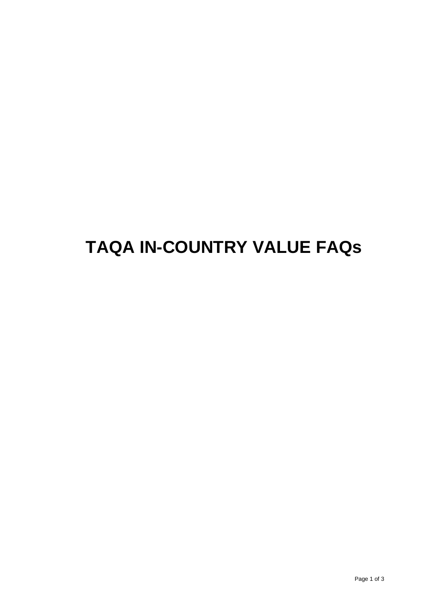# **TAQA IN-COUNTRY VALUE FAQs**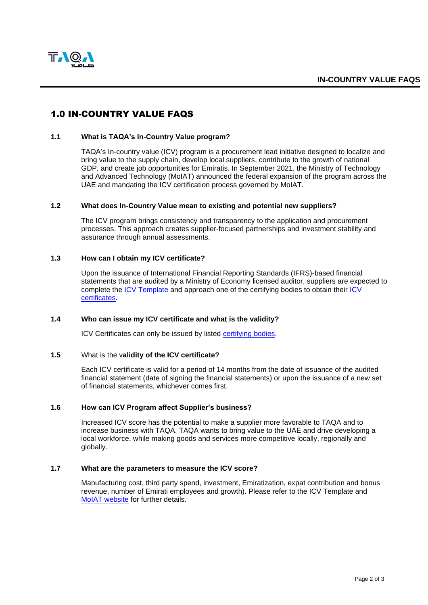

# 1.0 IN-COUNTRY VALUE FAQS

## **1.1 What is TAQA's In-Country Value program?**

TAQA's In-country value (ICV) program is a procurement lead initiative designed to localize and bring value to the supply chain, develop local suppliers, contribute to the growth of national GDP, and create job opportunities for Emiratis. In September 2021, the Ministry of Technology and Advanced Technology (MoIAT) announced the federal expansion of the program across the UAE and mandating the ICV certification process governed by MoIAT.

#### **1.2 What does In-Country Value mean to existing and potential new suppliers?**

The ICV program brings consistency and transparency to the application and procurement processes. This approach creates supplier-focused partnerships and investment stability and assurance through annual assessments.

#### **1.3 How can I obtain my ICV certificate?**

Upon the issuance of International Financial Reporting Standards (IFRS)-based financial statements that are audited by a Ministry of Economy licensed auditor, suppliers are expected to complete the [ICV Template](https://moiat.gov.ae/en/icv/information-for-suppliers) and approach one of the certifying bodies to obtain their [ICV](https://moiat.gov.ae/en/icv/certifying-bodies?page=1)  [certificates.](https://moiat.gov.ae/en/icv/certifying-bodies?page=1)

#### **1.4 Who can issue my ICV certificate and what is the validity?**

ICV Certificates can only be issued by listed [certifying bodies.](https://moiat.gov.ae/en/icv/certifying-bodies?page=1)

#### **1.5** What is the v**alidity of the ICV certificate?**

Each ICV certificate is valid for a period of 14 months from the date of issuance of the audited financial statement (date of signing the financial statements) or upon the issuance of a new set of financial statements, whichever comes first.

#### **1.6 How can ICV Program affect Supplier's business?**

Increased ICV score has the potential to make a supplier more favorable to TAQA and to increase business with TAQA. TAQA wants to bring value to the UAE and drive developing a local workforce, while making goods and services more competitive locally, regionally and globally.

## **1.7 What are the parameters to measure the ICV score?**

Manufacturing cost, third party spend, investment, Emiratization, expat contribution and bonus revenue, number of Emirati employees and growth). Please refer to the ICV Template and [MoIAT website](https://icvuae.moiat.gov.ae/en/information-for-suppliers) for further details.